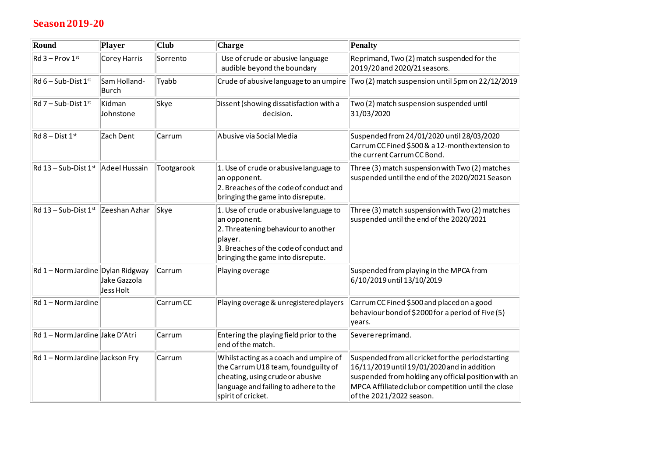## **Season 2019-20**

| Round                             | Player                       | <b>Club</b> | Charge                                                                                                                                                                                  | Penalty                                                                                                                                                                                                                                      |
|-----------------------------------|------------------------------|-------------|-----------------------------------------------------------------------------------------------------------------------------------------------------------------------------------------|----------------------------------------------------------------------------------------------------------------------------------------------------------------------------------------------------------------------------------------------|
| $Rd$ 3 – Prov 1st                 | Corey Harris                 | Sorrento    | Use of crude or abusive language<br>audible beyond the boundary                                                                                                                         | Reprimand, Two (2) match suspended for the<br>2019/20 and 2020/21 seasons.                                                                                                                                                                   |
| $Rd6 - Sub-Dist1st$               | Sam Holland-<br><b>Burch</b> | Tyabb       | Crude of abusive language to an umpire                                                                                                                                                  | Two (2) match suspension until 5pm on 22/12/2019                                                                                                                                                                                             |
| $Rd$ 7 – Sub-Dist 1st             | Kidman<br>Johnstone          | Skye        | Dissent (showing dissatisfaction with a<br>decision.                                                                                                                                    | Two (2) match suspension suspended until<br>31/03/2020                                                                                                                                                                                       |
| $Rd$ 8 – Dist 1st                 | Zach Dent                    | Carrum      | Abusive via Social Media                                                                                                                                                                | Suspended from 24/01/2020 until 28/03/2020<br>Carrum CC Fined \$500 & a 12-month extension to<br>the current Carrum CC Bond.                                                                                                                 |
| $Rd$ 13 – Sub-Dist 1st            | Adeel Hussain                | Tootgarook  | 1. Use of crude or abusive language to<br>an opponent.<br>2. Breaches of the code of conduct and<br>bringing the game into disrepute.                                                   | Three (3) match suspension with Two (2) matches<br>suspended until the end of the 2020/2021 Season                                                                                                                                           |
| $\overline{Rd}$ 13 – Sub-Dist 1st | Zeeshan Azhar                | Skye        | 1. Use of crude or abusive language to<br>an opponent.<br>2. Threatening behaviour to another<br>player.<br>3. Breaches of the code of conduct and<br>bringing the game into disrepute. | Three (3) match suspension with Two (2) matches<br>suspended until the end of the 2020/2021                                                                                                                                                  |
| Rd 1 - Norm Jardine Dylan Ridgway | Jake Gazzola<br>Jess Holt    | Carrum      | Playing overage                                                                                                                                                                         | Suspended from playing in the MPCA from<br>6/10/2019 until 13/10/2019                                                                                                                                                                        |
| $Rd 1 - Norm Jardine$             |                              | Carrum CC   | Playing overage & unregistered players                                                                                                                                                  | Carrum CC Fined \$500 and placed on a good<br>behaviour bond of \$2000 for a period of Five (5)<br>years.                                                                                                                                    |
| Rd 1 - Norm Jardine Jake D'Atri   |                              | Carrum      | Entering the playing field prior to the<br>end of the match.                                                                                                                            | Severe reprimand.                                                                                                                                                                                                                            |
| Rd 1 - Norm Jardine Jackson Fry   |                              | Carrum      | Whilst acting as a coach and umpire of<br>the Carrum U18 team, found guilty of<br>cheating, using crude or abusive<br>language and failing to adhere to the<br>spirit of cricket.       | Suspended from all cricket for the period starting<br>16/11/2019 until 19/01/2020 and in addition<br>suspended from holding any official position with an<br>MPCA Affiliated club or competition until the close<br>of the 2021/2022 season. |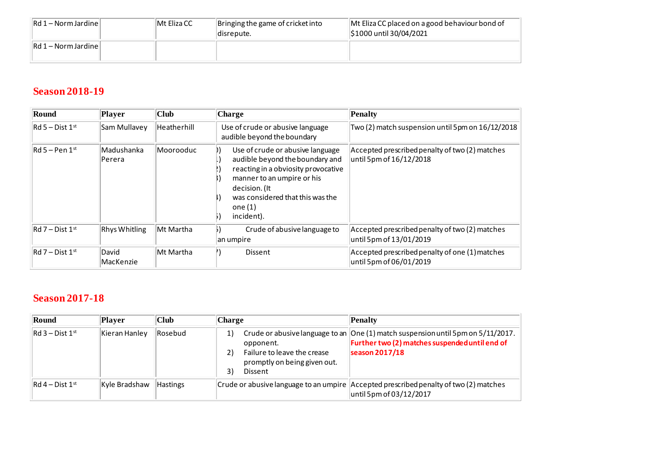| $\left\vert \mathsf{Rd1-Norm\,Jardine} \right\vert$ | Mt Eliza CC | Bringing the game of cricket into<br>disrepute. | Mt Eliza CC placed on a good behaviour bond of<br>S1000 until 30/04/2021 |
|-----------------------------------------------------|-------------|-------------------------------------------------|--------------------------------------------------------------------------|
| $\left\vert \mathsf{Rd1-Norm\,Jardine} \right\vert$ |             |                                                 |                                                                          |

# **Season 2018-19**

| Round                  | Player                | Club        | <b>Charge</b>                                                                                                                                                                                                            | Penalty                                                                   |
|------------------------|-----------------------|-------------|--------------------------------------------------------------------------------------------------------------------------------------------------------------------------------------------------------------------------|---------------------------------------------------------------------------|
| $ Rd 5 - Dist 1^{st} $ | Sam Mullavey          | Heatherhill | Use of crude or abusive language<br>audible beyond the boundary                                                                                                                                                          | Two (2) match suspension until 5pm on 16/12/2018                          |
| $Rd$ 5 – Pen 1st       | Madushanka<br> Perera | Moorooduc   | Use of crude or abusive language<br>audible beyond the boundary and<br>reacting in a obviosity provocative<br>manner to an umpire or his<br>decision. (It<br>was considered that this was the<br>one $(1)$<br>incident). | Accepted prescribed penalty of two (2) matches<br>until 5pm of 16/12/2018 |
| $Rd$ 7 – Dist 1st      | <b>Rhys Whitling</b>  | Mt Martha   | Crude of abusive language to<br>an umpire                                                                                                                                                                                | Accepted prescribed penalty of two (2) matches<br>until 5pm of 13/01/2019 |
| $Rd$ 7 – Dist 1st      | David<br> MacKenzie   | Mt Martha   | <b>Dissent</b>                                                                                                                                                                                                           | Accepted prescribed penalty of one (1) matches<br>until 5pm of 06/01/2019 |

### **Season 2017-18**

| Round                   | Player        | Club            | <b>Charge</b>                                                                                         | Penalty                                                                                                                                                   |
|-------------------------|---------------|-----------------|-------------------------------------------------------------------------------------------------------|-----------------------------------------------------------------------------------------------------------------------------------------------------------|
| $\vert$ Rd 3 – Dist 1st | Kieran Hanley | Rosebud         | 1)<br>opponent.<br>2)<br>Failure to leave the crease<br>promptly on being given out.<br>3)<br>Dissent | Crude or abusive language to an $ One(1)$ match suspension until 5pm on $5/11/2017$ .<br>Further two (2) matches suspended until end of<br>season 2017/18 |
| $\vert$ Rd 4 – Dist 1st | Kyle Bradshaw | <b>Hastings</b> |                                                                                                       | Crude or abusive language to an umpire Accepted prescribed penalty of two (2) matches<br>until 5pm of 03/12/2017                                          |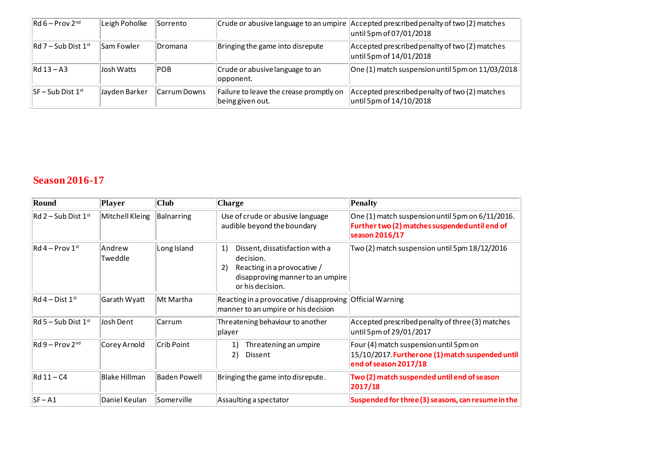| $Rd6 - Prov 2^{nd}$                    | Leigh Poholke | lSorrento    |                                                             | Crude or abusive language to an umpire Accepted prescribed penalty of two (2) matches<br>until 5pm of 07/01/2018 |
|----------------------------------------|---------------|--------------|-------------------------------------------------------------|------------------------------------------------------------------------------------------------------------------|
| $ Rd 7 - Sub Dist 1st$                 | lSam Fowler   | Dromana      | Bringing the game into disrepute                            | Accepted prescribed penalty of two (2) matches<br>until 5pm of 14/01/2018                                        |
| $Rd$ 13 – A3                           | Josh Watts    | <b>POB</b>   | Crude or abusive language to an<br>lopponent.               | One (1) match suspension until 5pm on 11/03/2018                                                                 |
| $\sqrt{\frac{1}{5}}$ SF – Sub Dist 1st | Jayden Barker | Carrum Downs | Failure to leave the crease promptly on<br>being given out. | Accepted prescribed penalty of two (2) matches<br>until 5pm of 14/10/2018                                        |

#### **Season 2016-17**

| Round                                       | <b>Player</b>        | <b>Club</b>         | Charge                                                                                                                                          | Penalty                                                                                                                |
|---------------------------------------------|----------------------|---------------------|-------------------------------------------------------------------------------------------------------------------------------------------------|------------------------------------------------------------------------------------------------------------------------|
| $ Rd 2 - Sub Dist 1st$                      | Mitchell Kleing      | Balnarring          | Use of crude or abusive language<br>audible beyond the boundary                                                                                 | One (1) match suspension until 5pm on 6/11/2016.<br>Further two (2) matches suspended until end of<br>season 2016/17   |
| $\text{Rd}$ 4 – Prov 1st                    | Andrew<br>Tweddle    | Long Island         | Dissent, dissatisfaction with a<br>1)<br>decision.<br>Reacting in a provocative /<br>2)<br>disapproving manner to an umpire<br>or his decision. | Two (2) match suspension until 5pm 18/12/2016                                                                          |
| $\textsf{Rd4}-\textsf{Dist4}^{\textsf{st}}$ | Garath Wyatt         | Mt Martha           | Reacting in a provocative / disapproving Official Warning<br>manner to an umpire or his decision                                                |                                                                                                                        |
| $\overline{\mathsf{Rd}}$ 5 – Sub Dist 1st   | Josh Dent            | Carrum              | Threatening behaviour to another<br> player                                                                                                     | Accepted prescribed penalty of three (3) matches<br>until 5pm of 29/01/2017                                            |
| $\mathsf{Rd}\,9$ – Prov 2nd                 | Corey Arnold         | Crib Point          | Threatening an umpire<br>1)<br>2)<br>Dissent                                                                                                    | Four (4) match suspension until 5pm on<br>15/10/2017. Further one (1) match suspended until<br>end of season $2017/18$ |
| $Rd$ 11 – C4                                | <b>Blake Hillman</b> | <b>Baden Powell</b> | Bringing the game into disrepute.                                                                                                               | Two (2) match suspended until end of season<br>2017/18                                                                 |
| $ SF - A1$                                  | Daniel Keulan        | Somerville          | Assaulting a spectator                                                                                                                          | Suspended for three (3) seasons, can resume in the                                                                     |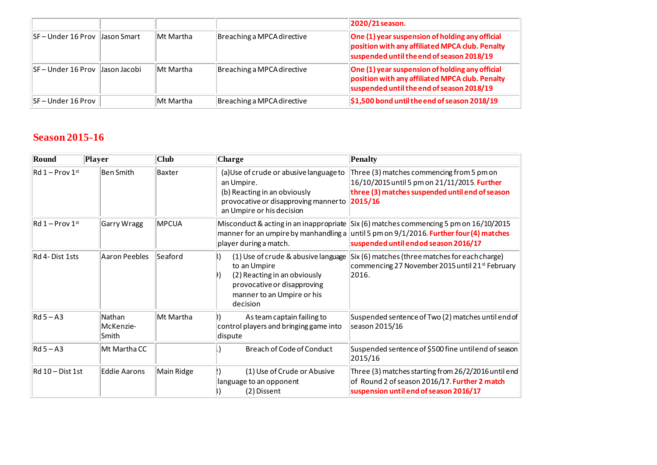|                                       |               |           |                            | 2020/21 season.                                                                                                                                         |
|---------------------------------------|---------------|-----------|----------------------------|---------------------------------------------------------------------------------------------------------------------------------------------------------|
| <b>ISF-Under 16 Prov Llason Smart</b> |               | Mt Martha | Breaching a MPCA directive | One (1) year suspension of holding any official<br>position with any affiliated MPCA club. Penalty<br>suspended until the end of season 2018/19         |
| $S_F$ – Under 16 Prov                 | Llason Jacobi | Mt Martha | Breaching a MPCA directive | $\vert$ One (1) year suspension of holding any official<br>position with any affiliated MPCA club. Penalty<br>suspended until the end of season 2018/19 |
| <b>SF-Under 16 Prov</b>               |               | Mt Martha | Breaching a MPCA directive | $\frac{1}{2}$ \$1,500 bond until the end of season 2018/19                                                                                              |

### **Season 2015-16**

| Round                                     | Player                       | <b>Club</b>  | Charge                                                                                                                                                       | Penalty                                                                                                                                                                                                                     |
|-------------------------------------------|------------------------------|--------------|--------------------------------------------------------------------------------------------------------------------------------------------------------------|-----------------------------------------------------------------------------------------------------------------------------------------------------------------------------------------------------------------------------|
| $\text{Rd} 1 - \text{Prov} 1^{\text{st}}$ | <b>Ben Smith</b>             | Baxter       | (a) Use of crude or abusive language to<br>an Umpire.<br>(b) Reacting in an obviously<br>provocative or disapproving manner to<br>an Umpire or his decision  | Three (3) matches commencing from 5 pm on<br>16/10/2015 until 5 pm on 21/11/2015. Further<br>three (3) matches suspended until end of season<br> 2015/16                                                                    |
| $\text{Rd} 1 - \text{Prov} 1^{\text{st}}$ | Garry Wragg                  | <b>MPCUA</b> | player during a match.                                                                                                                                       | Misconduct & acting in an inappropriate Six (6) matches commencing 5 pm on 16/10/2015<br>manner for an umpire by manhandling a until 5 pm on $9/1/2016$ . Further four (4) matches<br>suspended until end od season 2016/17 |
| Rd 4-Dist 1sts                            | <b>Aaron Peebles</b>         | Seaford      | (1) Use of crude & abusive language<br>to an Umpire<br>(2) Reacting in an obviously<br>provocative or disapproving<br>manner to an Umpire or his<br>decision | Six (6) matches (three matches for each charge)<br>commencing 27 November 2015 until 21 <sup>st</sup> February<br>2016.                                                                                                     |
| $Rd5 - A3$                                | Nathan<br>McKenzie-<br>Smith | Mt Martha    | As team captain failing to<br>control players and bringing game into<br>dispute                                                                              | Suspended sentence of Two (2) matches until end of<br>season 2015/16                                                                                                                                                        |
| $Rd5 - A3$                                | Mt Martha CC                 |              | <b>Breach of Code of Conduct</b>                                                                                                                             | Suspended sentence of \$500 fine untilend of season<br>2015/16                                                                                                                                                              |
| $Rd$ 10 – Dist 1st                        | <b>Eddie Aarons</b>          | Main Ridge   | (1) Use of Crude or Abusive<br>language to an opponent<br>(2) Dissent                                                                                        | Three (3) matches starting from 26/2/2016 until end<br>of Round 2 of season 2016/17. Further 2 match<br>suspension until end of season 2016/17                                                                              |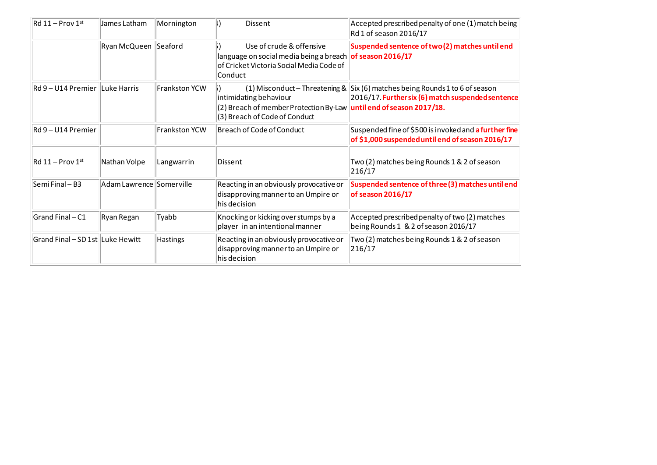| $Rd$ 11 – Prov 1st               | James Latham               | Mornington           | <b>Dissent</b>                                                                                                                               | Accepted prescribed penalty of one (1) match being<br>Rd 1 of season 2016/17                                                              |
|----------------------------------|----------------------------|----------------------|----------------------------------------------------------------------------------------------------------------------------------------------|-------------------------------------------------------------------------------------------------------------------------------------------|
|                                  | Ryan McQueen Seaford       |                      | Use of crude & offensive<br>language on social media being a breach of season 2016/17<br>of Cricket Victoria Social Media Code of<br>Conduct | Suspended sentence of two(2) matches until end                                                                                            |
| Rd 9 – U14 Premier ILuke Harris  |                            | <b>Frankston YCW</b> | intimidating behaviour<br>(2) Breach of member Protection By-Law until end of season 2017/18.<br>(3) Breach of Code of Conduct               | (1) Misconduct – Threatening & $\vert$ Six (6) matches being Rounds 1 to 6 of season<br>2016/17. Further six (6) match suspended sentence |
| Rd 9 – U14 Premier               |                            | <b>Frankston YCW</b> | Breach of Code of Conduct                                                                                                                    | Suspended fine of \$500 is invoked and a further fine<br>of \$1,000 suspended until end of season 2016/17                                 |
| $Rd$ 11 – Prov 1st               | Nathan Volpe               | Langwarrin           | Dissent                                                                                                                                      | Two (2) matches being Rounds 1 & 2 of season<br>216/17                                                                                    |
| Semi Final - B3                  | Adam Lawrence   Somerville |                      | Reacting in an obviously provocative or<br>disapproving manner to an Umpire or<br>his decision                                               | Suspended sentence of three (3) matches until end<br>of season 2016/17                                                                    |
| Grand Final - C1                 | Ryan Regan                 | Tyabb                | Knocking or kicking over stumps by a<br>player in an intentional manner                                                                      | Accepted prescribed penalty of two (2) matches<br>being Rounds 1 & 2 of season 2016/17                                                    |
| Grand Final - SD 1st Luke Hewitt |                            | Hastings             | Reacting in an obviously provocative or<br>disapproving manner to an Umpire or<br>his decision                                               | Two (2) matches being Rounds 1 & 2 of season<br>216/17                                                                                    |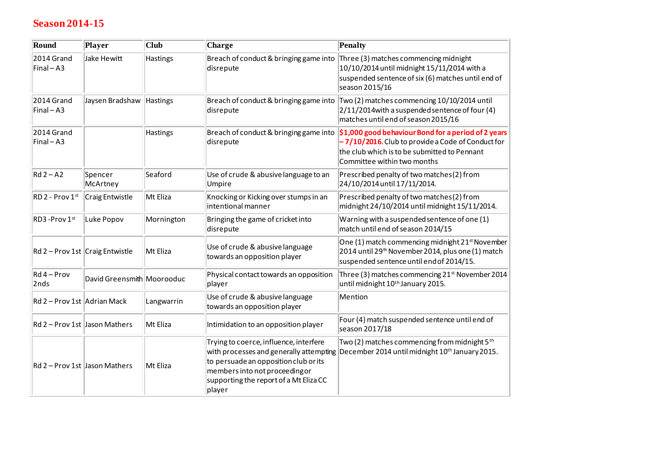## **Season 2014-15**

| Round                                      | Player                          | <b>Club</b>     | Charge                                                                                                                                                                                                           | <b>Penalty</b>                                                                                                                                                                          |
|--------------------------------------------|---------------------------------|-----------------|------------------------------------------------------------------------------------------------------------------------------------------------------------------------------------------------------------------|-----------------------------------------------------------------------------------------------------------------------------------------------------------------------------------------|
| 2014 Grand<br>$\textsf{Final}-\textsf{A}3$ | Jake Hewitt                     | <b>Hastings</b> | Breach of conduct & bringing game into<br>disrepute                                                                                                                                                              | Three (3) matches commencing midnight<br>10/10/2014 until midnight 15/11/2014 with a<br>suspended sentence of six (6) matches until end of<br>season 2015/16                            |
| 2014 Grand<br>$\textsf{Final}-\textsf{A3}$ | Jaysen Bradshaw                 | Hastings        | Breach of conduct & bringing game into<br>disrepute                                                                                                                                                              | Two (2) matches commencing 10/10/2014 until<br>2/11/2014 with a suspended sentence of four (4)<br>matches until end of season 2015/16                                                   |
| 2014 Grand<br>$\textsf{Final}-\textsf{A}3$ |                                 | Hastings        | Breach of conduct & bringing game into<br>disrepute                                                                                                                                                              | \$1,000 good behaviour Bond for a period of 2 years<br>-7/10/2016. Club to provide a Code of Conduct for<br>the club which is to be submitted to Pennant<br>Committee within two months |
| $Rd2 - A2$                                 | Spencer<br>McArtney             | Seaford         | Use of crude & abusive language to an<br>Umpire                                                                                                                                                                  | Prescribed penalty of two matches(2) from<br>24/10/2014 until 17/11/2014.                                                                                                               |
| $RD$ 2 - Prov $1st$                        | Craig Entwistle                 | Mt Eliza        | Knocking or Kicking over stumps in an<br>intentional manner                                                                                                                                                      | Prescribed penalty of two matches (2) from<br>midnight 24/10/2014 until midnight 15/11/2014.                                                                                            |
| RD3 - Prov 1st                             | Luke Popov                      | Mornington      | Bringing the game of cricket into<br>disrepute                                                                                                                                                                   | Warning with a suspended sentence of one (1)<br>match until end of season 2014/15                                                                                                       |
|                                            | Rd 2 - Prov 1st Craig Entwistle | Mt Eliza        | Use of crude & abusive language<br>towards an opposition player                                                                                                                                                  | One (1) match commencing midnight 21 <sup>st</sup> November<br>2014 until 29 <sup>th</sup> November 2014, plus one (1) match<br>suspended sentence until end of 2014/15.                |
| $Rd4 - Prov$<br>2nds                       | David Greensmith Moorooduc      |                 | Physical contact towards an opposition<br>player                                                                                                                                                                 | Three (3) matches commencing 21 <sup>st</sup> November 2014<br>until midnight 10 <sup>th</sup> January 2015.                                                                            |
| Rd 2 - Prov 1st Adrian Mack                |                                 | Langwarrin      | Use of crude & abusive language<br>towards an opposition player                                                                                                                                                  | Mention                                                                                                                                                                                 |
|                                            | Rd 2 – Prov 1st Jason Mathers   | Mt Eliza        | Intimidation to an opposition player                                                                                                                                                                             | Four (4) match suspended sentence until end of<br>season 2017/18                                                                                                                        |
| Rd 2 - Prov 1st Jason Mathers              |                                 | Mt Eliza        | Trying to coerce, influence, interfere<br>with processes and generally attempting<br>to persuade an opposition club or its<br>members into not proceeding or<br>supporting the report of a Mt Eliza CC<br>player | Two (2) matches commencing from midnight 5 <sup>th</sup><br>December 2014 until midnight 10 <sup>th</sup> January 2015.                                                                 |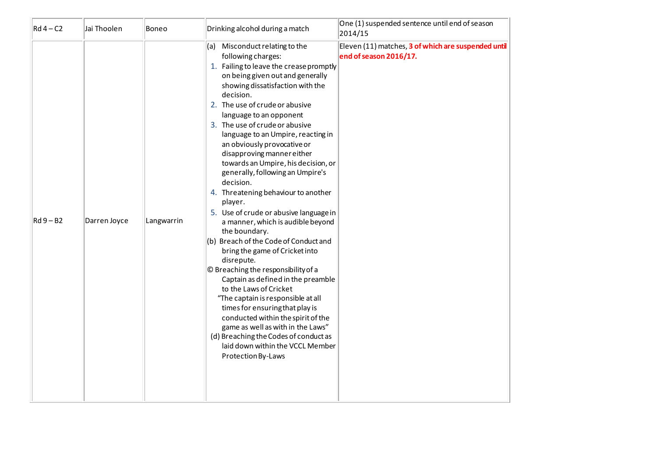| $Rd4 - C2$ | Jai Thoolen  | Boneo      | Drinking alcohol during a match                                                                                                                                                                                                                                                                                                                                                                                                                                                                                                                                                                                                                                                                                                                                                                                                                                                                                                                                                                                                                                                         | One (1) suspended sentence until end of season<br>2014/15                     |
|------------|--------------|------------|-----------------------------------------------------------------------------------------------------------------------------------------------------------------------------------------------------------------------------------------------------------------------------------------------------------------------------------------------------------------------------------------------------------------------------------------------------------------------------------------------------------------------------------------------------------------------------------------------------------------------------------------------------------------------------------------------------------------------------------------------------------------------------------------------------------------------------------------------------------------------------------------------------------------------------------------------------------------------------------------------------------------------------------------------------------------------------------------|-------------------------------------------------------------------------------|
| $Rd9 - B2$ | Darren Joyce | Langwarrin | (a) Misconduct relating to the<br>following charges:<br>1. Failing to leave the crease promptly<br>on being given out and generally<br>showing dissatisfaction with the<br>decision.<br>2. The use of crude or abusive<br>language to an opponent<br>3. The use of crude or abusive<br>language to an Umpire, reacting in<br>an obviously provocative or<br>disapproving manner either<br>towards an Umpire, his decision, or<br>generally, following an Umpire's<br>decision.<br>4. Threatening behaviour to another<br>player.<br>5. Use of crude or abusive language in<br>a manner, which is audible beyond<br>the boundary.<br>(b) Breach of the Code of Conduct and<br>bring the game of Cricket into<br>disrepute.<br>© Breaching the responsibility of a<br>Captain as defined in the preamble<br>to the Laws of Cricket<br>"The captain is responsible at all<br>times for ensuring that play is<br>conducted within the spirit of the<br>game as well as with in the Laws"<br>(d) Breaching the Codes of conduct as<br>laid down within the VCCL Member<br>Protection By-Laws | Eleven (11) matches, 3 of which are suspended until<br>end of season 2016/17. |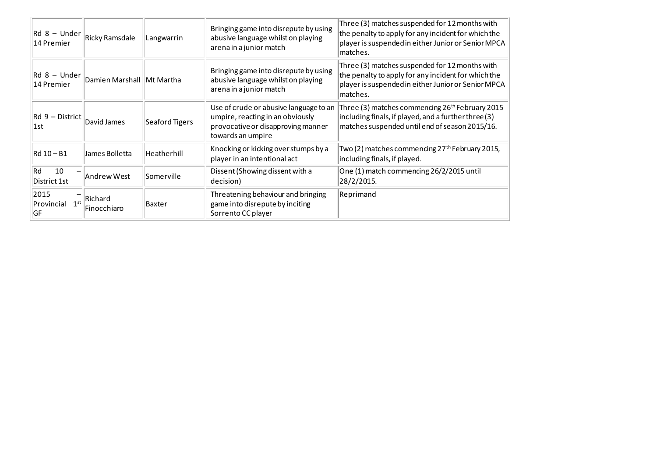| Rd 8 - Under<br> 14 Premier                     | Ricky Ramsdale              | Langwarrin     | Bringing game into disrepute by using<br>abusive language whilst on playing<br>arena in a junior match                                | Three (3) matches suspended for 12 months with<br>the penalty to apply for any incident for which the<br>player is suspended in either Junior or Senior MPCA<br>matches. |
|-------------------------------------------------|-----------------------------|----------------|---------------------------------------------------------------------------------------------------------------------------------------|--------------------------------------------------------------------------------------------------------------------------------------------------------------------------|
| $\mathsf{Rd} 8 - \mathsf{Under}$<br> 14 Premier | Damien Marshall   Mt Martha |                | Bringing game into disrepute by using<br>abusive language whilst on playing<br>arena in a junior match                                | Three (3) matches suspended for 12 months with<br>the penalty to apply for any incident for which the<br>player is suspended in either Junior or Senior MPCA<br>matches. |
| $ Rd 9 - District $<br>1st                      | David James                 | Seaford Tigers | Use of crude or abusive language to an<br>umpire, reacting in an obviously<br>provocative or disapproving manner<br>towards an umpire | Three (3) matches commencing 26 <sup>th</sup> February 2015<br>including finals, if played, and a further three (3)<br>matches suspended until end of season 2015/16.    |
| Rd 10 – B1                                      | James Bolletta              | Heatherhill    | Knocking or kicking over stumps by a<br>player in an intentional act                                                                  | Two (2) matches commencing 27 <sup>th</sup> February 2015,<br>including finals, if played.                                                                               |
| Rd<br>10<br>District 1st                        | Andrew West                 | Somerville     | Dissent (Showing dissent with a<br>decision)                                                                                          | One (1) match commencing 26/2/2015 until<br>28/2/2015.                                                                                                                   |
| 2015<br>1 <sub>st</sub><br>Provincial<br> GF    | Richard<br>Finocchiaro      | Baxter         | Threatening behaviour and bringing<br>game into disrepute by inciting<br>Sorrento CC player                                           | Reprimand                                                                                                                                                                |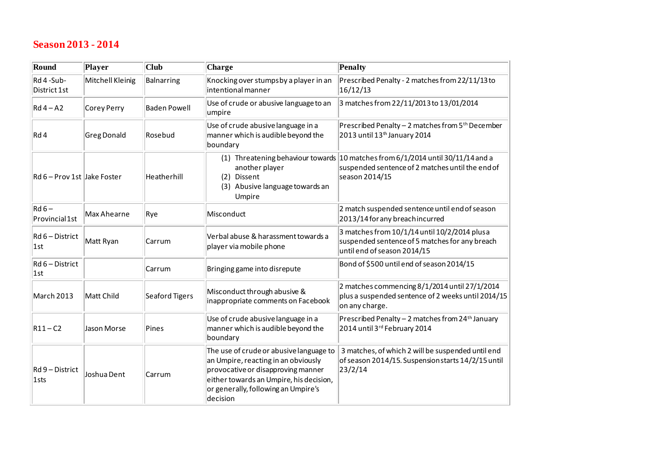#### **Season 2013 - 2014**

| Round                           | Player             | <b>Club</b>         | Charge                                                                                                                                                                                                             | <b>Penalty</b>                                                                                                                                        |
|---------------------------------|--------------------|---------------------|--------------------------------------------------------------------------------------------------------------------------------------------------------------------------------------------------------------------|-------------------------------------------------------------------------------------------------------------------------------------------------------|
| Rd 4-Sub-<br>District 1st       | Mitchell Kleinig   | Balnarring          | Knocking over stumps by a player in an<br>intentional manner                                                                                                                                                       | Prescribed Penalty - 2 matches from 22/11/13 to<br>16/12/13                                                                                           |
| $Rd4 - A2$                      | Corey Perry        | <b>Baden Powell</b> | Use of crude or abusive language to an<br>umpire                                                                                                                                                                   | 3 matches from 22/11/2013 to 13/01/2014                                                                                                               |
| Rd4                             | <b>Greg Donald</b> | Rosebud             | Use of crude abusive language in a<br>manner which is audible beyond the<br>boundary                                                                                                                               | Prescribed Penalty - 2 matches from 5 <sup>th</sup> December<br>2013 until 13 <sup>th</sup> January 2014                                              |
| Rd 6 - Prov 1st Jake Foster     |                    | Heatherhill         | another player<br>Dissent<br>(2)<br>(3) Abusive language towards an<br>Umpire                                                                                                                                      | (1) Threatening behaviour towards 10 matches from 6/1/2014 until 30/11/14 and a<br>suspended sentence of 2 matches until the end of<br>season 2014/15 |
| $Rd6-$<br>Provincial 1st        | Max Ahearne        | Rye                 | Misconduct                                                                                                                                                                                                         | 2 match suspended sentence until end of season<br>2013/14 for any breach incurred                                                                     |
| $Rd6 - District$<br>l1st        | Matt Ryan          | Carrum              | Verbal abuse & harassment towards a<br>player via mobile phone                                                                                                                                                     | 3 matches from 10/1/14 until 10/2/2014 plusa<br>suspended sentence of 5 matches for any breach<br>until end of season 2014/15                         |
| $Rd6 - District$<br> 1st        |                    | Carrum              | Bringing game into disrepute                                                                                                                                                                                       | Bond of \$500 until end of season 2014/15                                                                                                             |
| March 2013                      | Matt Child         | Seaford Tigers      | Misconduct through abusive &<br>inappropriate comments on Facebook                                                                                                                                                 | 2 matches commencing 8/1/2014 until 27/1/2014<br>plus a suspended sentence of 2 weeks until 2014/15<br>on any charge.                                 |
| $ R11-C2$                       | <b>Jason Morse</b> | Pines               | Use of crude abusive language in a<br>manner which is audible beyond the<br>boundary                                                                                                                               | Prescribed Penalty - 2 matches from 24 <sup>th</sup> January<br>2014 until 3rd February 2014                                                          |
| Rd 9 - District<br>$\vert$ 1sts | Joshua Dent        | Carrum              | The use of crude or abusive language to<br>an Umpire, reacting in an obviously<br>provocative or disapproving manner<br>either towards an Umpire, his decision,<br>or generally, following an Umpire's<br>decision | 3 matches, of which 2 will be suspended until end<br>of season 2014/15. Suspension starts 14/2/15 until<br>23/2/14                                    |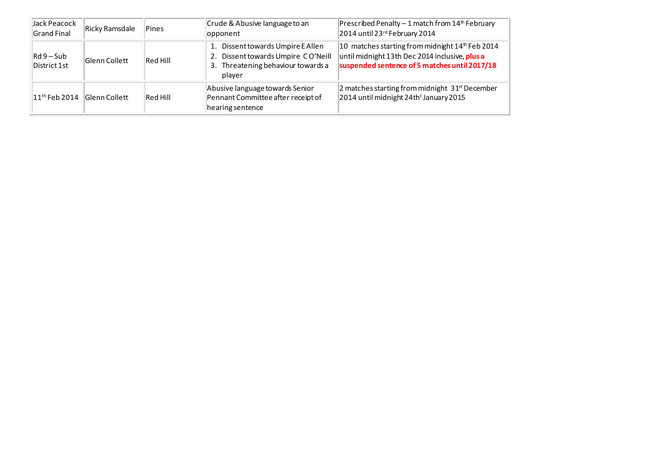| Jack Peacock<br><b>Grand Final</b> | <b>Ricky Ramsdale</b> | <b>Pines</b>    | Crude & Abusive language to an<br>opponent                                                                              | Prescribed Penalty - 1 match from $14th$ February<br>2014 until 23rd February 2014                                                                          |
|------------------------------------|-----------------------|-----------------|-------------------------------------------------------------------------------------------------------------------------|-------------------------------------------------------------------------------------------------------------------------------------------------------------|
| $Rd9-Sub$<br>District 1st          | Glenn Collett         | <b>Red Hill</b> | 1. Dissent towards Umpire E Allen<br>2. Dissent towards Umpire CO'Neill<br>3. Threatening behaviour towards a<br>player | 10 matches starting from midnight $14th$ Feb 2014<br>until midnight 13th Dec 2014 inclusive, <b>plus a</b><br>suspended sentence of 5 matches until 2017/18 |
| $11th$ Feb 2014                    | <b>Glenn Collett</b>  | <b>Red Hill</b> | Abusive language towards Senior<br>Pennant Committee after receipt of<br>hearing sentence                               | 2 matches starting from midnight 31 <sup>st</sup> December<br>2014 until midnight 24th <sup>t</sup> January 2015                                            |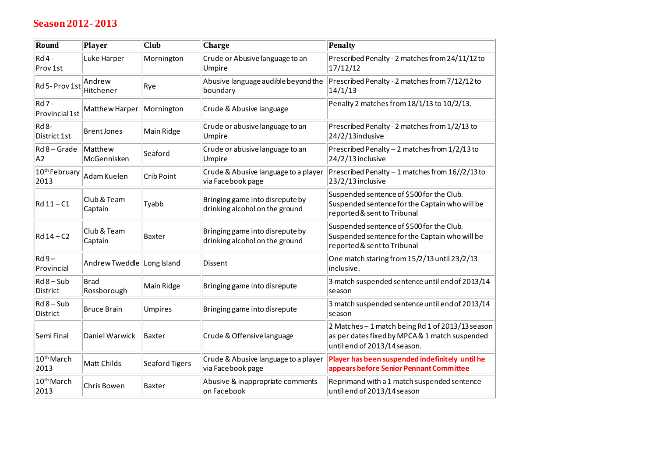## **Season 2012- 2013**

| Round                           | Player                                                             | <b>Club</b>    | Charge                                                            | <b>Penalty</b>                                                                                                                     |
|---------------------------------|--------------------------------------------------------------------|----------------|-------------------------------------------------------------------|------------------------------------------------------------------------------------------------------------------------------------|
| <b>Rd 4 -</b><br>Prov 1st       | Luke Harper                                                        | Mornington     | Crude or Abusive language to an<br>Umpire                         | Prescribed Penalty - 2 matches from 24/11/12 to<br>17/12/12                                                                        |
| Rd 5- Prov 1st                  | Andrew<br>Hitchener                                                | Rye            | Abusive language audible beyond the<br>boundary                   | Prescribed Penalty - 2 matches from 7/12/12 to<br>14/1/13                                                                          |
| <b>Rd 7 -</b><br>Provincial 1st | Matthew Harper                                                     | Mornington     | Crude & Abusive language                                          | Penalty 2 matches from 18/1/13 to 10/2/13.                                                                                         |
| $Rd$ 8-<br>District 1st         | <b>Brent Jones</b>                                                 | Main Ridge     | Crude or abusive language to an<br>Umpire                         | Prescribed Penalty - 2 matches from 1/2/13 to<br>24/2/13inclusive                                                                  |
| $Rd$ 8 – Grade<br>A2            | Matthew<br>McGennisken                                             | Seaford        | Crude or abusive language to an<br>Umpire                         | Prescribed Penalty - 2 matches from 1/2/13 to<br>24/2/13 inclusive                                                                 |
| 2013                            | $\boxed{10^{\text{th}}}$ February $\big\ _{\mathsf{Adam\,Kuelen}}$ | Crib Point     | Crude & Abusive language to a player<br>via Facebook page         | Prescribed Penalty - 1 matches from 16//2/13 to<br>23/2/13 inclusive                                                               |
| $Rd$ 11 - $C1$                  | Club & Team<br>Captain                                             | Tyabb          | Bringing game into disrepute by<br>drinking alcohol on the ground | Suspended sentence of \$500 for the Club.<br>Suspended sentence for the Captain who will be<br>reported & sent to Tribunal         |
| $Rd$ 14 – C2                    | Club & Team<br>Captain                                             | <b>Baxter</b>  | Bringing game into disrepute by<br>drinking alcohol on the ground | Suspended sentence of \$500 for the Club.<br>Suspended sentence for the Captain who will be<br>reported & sent to Tribunal         |
| $Rd9-$<br>Provincial            | Andrew Tweddle Long Island                                         |                | Dissent                                                           | One match staring from 15/2/13 until 23/2/13<br>inclusive.                                                                         |
| $Rd$ 8 - Sub<br>District        | Brad<br>Rossborough                                                | Main Ridge     | Bringing game into disrepute                                      | 3 match suspended sentence until end of 2013/14<br>season                                                                          |
| $Rd$ 8 – Sub<br>District        | <b>Bruce Brain</b>                                                 | <b>Umpires</b> | Bringing game into disrepute                                      | 3 match suspended sentence until end of 2013/14<br>season                                                                          |
| Semi Final                      | Daniel Warwick                                                     | Baxter         | Crude & Offensive language                                        | 2 Matches - 1 match being Rd 1 of 2013/13 season<br>as per dates fixed by MPCA & 1 match suspended<br>until end of 2013/14 season. |
| 10 <sup>th</sup> March<br>2013  | Matt Childs                                                        | Seaford Tigers | Crude & Abusive language to a player<br>via Facebook page         | Player has been suspended indefinitely until he<br>appears before Senior Pennant Committee                                         |
| 10 <sup>th</sup> March<br>2013  | Chris Bowen                                                        | Baxter         | Abusive & inappropriate comments<br>on Facebook                   | Reprimand with a 1 match suspended sentence<br>until end of 2013/14 season                                                         |